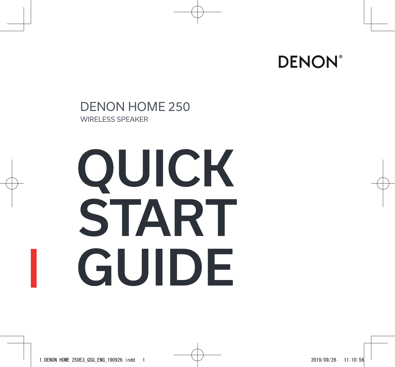

### DENON HOME 250 WIRELESS SPEAKER

# QUICK START GUIDE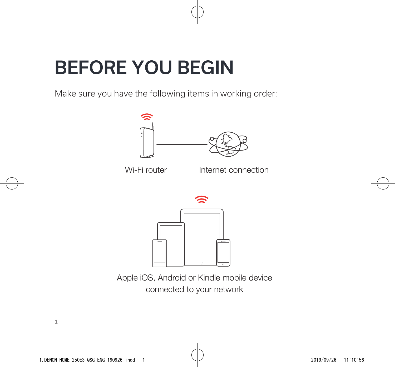### BEFORE YOU BEGIN

Make sure you have the following items in working order:



Apple iOS, Android or Kindle mobile device connected to your network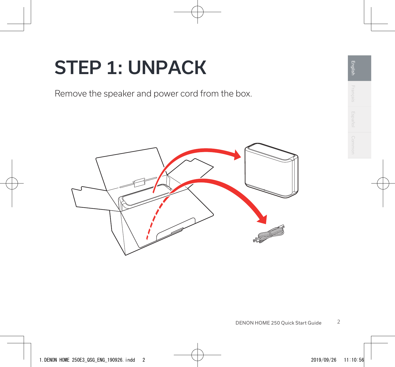### STEP 1: UNPACK

Remove the speaker and power cord from the box.

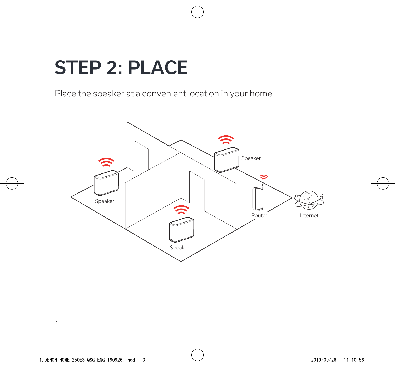### STEP 2: PLACE

Place the speaker at a convenient location in your home.

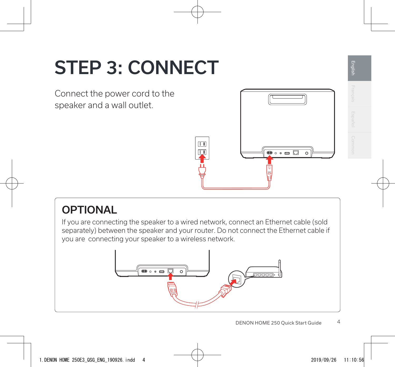# STEP 3: CONNECT

Connect the power cord to the speaker and a wall outlet.



**English** Français Español Common

English

### **OPTIONAL**

If you are connecting the speaker to a wired network, connect an Ethernet cable (sold separately) between the speaker and your router. Do not connect the Ethernet cable if you are connecting your speaker to a wireless network.

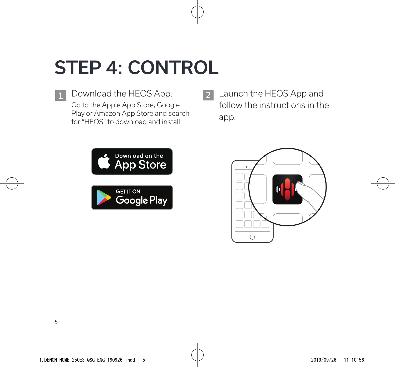# STEP 4: CONTROL

1 Download the HEOS App. 2 Go to the Apple App Store, Google Play or Amazon App Store and search for "HEOS" to download and install.

Launch the HEOS App and follow the instructions in the app.



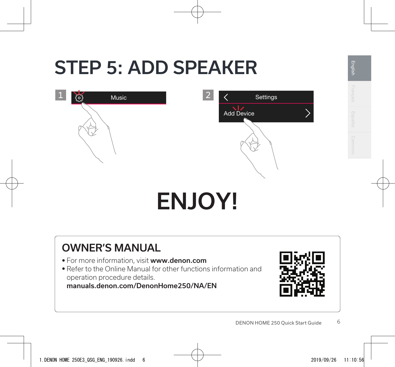### STEP 5: ADD SPEAKER



# ENJOY!

### OWNER'S MANUAL

- For more information, visit www.denon.com
- Refer to the Online Manual for other functions information and operation procedure details.

manuals.denon.com/DenonHome250/NA/EN



**English** Français Español Common

English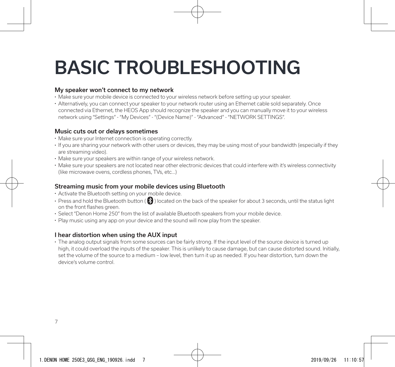## BASIC TROUBLESHOOTING

#### My speaker won't connect to my network

- Make sure your mobile device is connected to your wireless network before setting up your speaker.
- Alternatively, you can connect your speaker to your network router using an Ethernet cable sold separately. Once connected via Ethernet, the HEOS App should recognize the speaker and you can manually move it to your wireless network using "Settings" - "My Devices" - "(Device Name)" - "Advanced" - "NETWORK SETTINGS".

#### Music cuts out or delays sometimes

- Make sure your Internet connection is operating correctly.
- If you are sharing your network with other users or devices, they may be using most of your bandwidth (especially if they are streaming video).
- Make sure your speakers are within range of your wireless network.
- Make sure your speakers are not located near other electronic devices that could interfere with it's wireless connectivity (like microwave ovens, cordless phones, TVs, etc…)

#### Streaming music from your mobile devices using Bluetooth

- Activate the Bluetooth setting on your mobile device.
- Press and hold the Bluetooth button ( $\bigcirc$ ) located on the back of the speaker for about 3 seconds, until the status light on the front flashes green.
- Select "Denon Home 250" from the list of available Bluetooth speakers from your mobile device.
- Play music using any app on your device and the sound will now play from the speaker.

#### I hear distortion when using the AUX input

• The analog output signals from some sources can be fairly strong. If the input level of the source device is turned up high, it could overload the inputs of the speaker. This is unlikely to cause damage, but can cause distorted sound. Initially, set the volume of the source to a medium – low level, then turn it up as needed. If you hear distortion, turn down the device's volume control.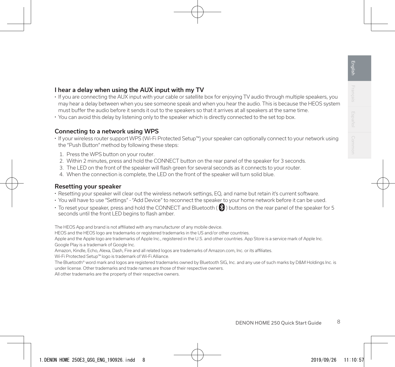#### I hear a delay when using the AUX input with my TV

- If you are connecting the AUX input with your cable or satellite box for enjoying TV audio through multiple speakers, you may hear a delay between when you see someone speak and when you hear the audio. This is because the HEOS system must buffer the audio before it sends it out to the speakers so that it arrives at all speakers at the same time.
- You can avoid this delay by listening only to the speaker which is directly connected to the set top box.

#### Connecting to a network using WPS

- If your wireless router support WPS (Wi-Fi Protected Setup™) your speaker can optionally connect to your network using the "Push Button" method by following these steps:
	- 1. Press the WPS button on your router.
	- 2. Within 2 minutes, press and hold the CONNECT button on the rear panel of the speaker for 3 seconds.
	- 3. The LED on the front of the speaker will flash green for several seconds as it connects to your router.
	- 4. When the connection is complete, the LED on the front of the speaker will turn solid blue.

#### Resetting your speaker

- Resetting your speaker will clear out the wireless network settings, EQ, and name but retain it's current software.
- You will have to use "Settings" "Add Device" to reconnect the speaker to your home network before it can be used.
- To reset your speaker, press and hold the CONNECT and Bluetooth ( $\bigcirc$ ) buttons on the rear panel of the speaker for 5 seconds until the front LED begins to flash amber.

The HEOS App and brand is not affiliated with any manufacturer of any mobile device.

HEOS and the HEOS logo are trademarks or registered trademarks in the US and/or other countries.

Apple and the Apple logo are trademarks of Apple Inc., registered in the U.S. and other countries. App Store is a service mark of Apple Inc. Google Play is a trademark of Google Inc.

Amazon, Kindle, Echo, Alexa, Dash, Fire and all related logos are trademarks of Amazon.com, Inc. or its affiliates.

Wi-Fi Protected Setup™ logo is trademark of Wi-Fi Alliance.

The Bluetooth® word mark and logos are registered trademarks owned by Bluetooth SIG, Inc. and any use of such marks by D&M Holdings Inc. is under license. Other trademarks and trade names are those of their respective owners.

All other trademarks are the property of their respective owners.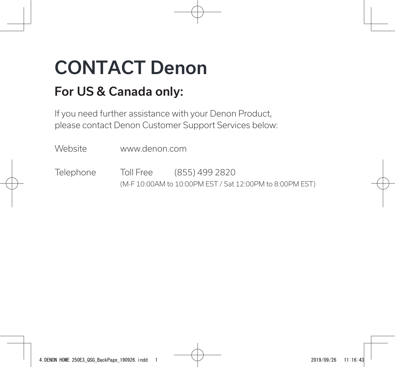## CONTACT Denon

### For US & Canada only:

If you need further assistance with your Denon Product, please contact Denon Customer Support Services below:

Website www.denon.com

Telephone Toll Free (855) 499 2820 (M-F 10:00AM to 10:00PM EST / Sat 12:00PM to 8:00PM EST)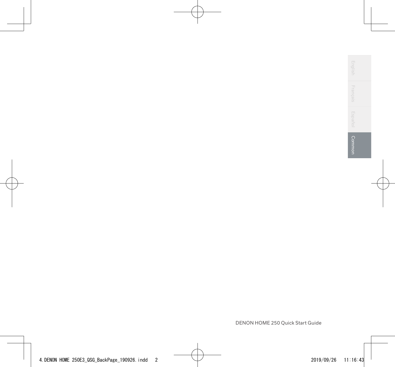| $\sim$<br>m<br>-<br>4<br>-<br>u<br>-<br>$\overline{\phantom{a}}$<br>m<br>-<br>2        |  |
|----------------------------------------------------------------------------------------|--|
| ÷<br>Ωj<br>-<br>4<br>ō<br>$\omega$<br>=<br>ΰñ                                          |  |
| -<br>m<br>in<br>-<br>o<br>ω<br>-<br>r<br>4<br>ź<br>٠                                   |  |
| ١<br>ſ,<br>é<br>ı<br>p<br>l esi<br>⊵<br>۱<br>u<br>н<br>∊<br>u<br>н<br>c<br>×<br>⊵<br>m |  |

Г

DENON HOME 250 Quick Start Guide